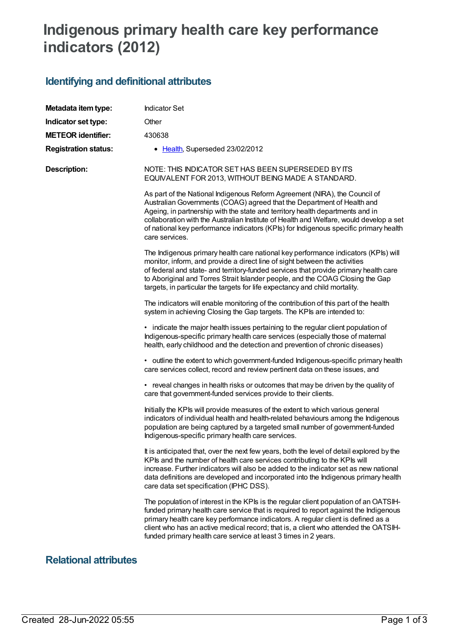# **Indigenous primary health care key performance indicators (2012)**

## **Identifying and definitional attributes**

| Metadata item type:<br>Indicator set type:<br><b>METEOR identifier:</b><br><b>Registration status:</b> | <b>Indicator Set</b><br>Other<br>430638<br>• Health, Superseded 23/02/2012                                                                                                                                                                                                                                                                                                                                                                |
|--------------------------------------------------------------------------------------------------------|-------------------------------------------------------------------------------------------------------------------------------------------------------------------------------------------------------------------------------------------------------------------------------------------------------------------------------------------------------------------------------------------------------------------------------------------|
| <b>Description:</b>                                                                                    | NOTE: THIS INDICATOR SET HAS BEEN SUPERSEDED BY ITS<br>EQUIVALENT FOR 2013, WITHOUT BEING MADE A STANDARD.                                                                                                                                                                                                                                                                                                                                |
|                                                                                                        | As part of the National Indigenous Reform Agreement (NIRA), the Council of<br>Australian Governments (COAG) agreed that the Department of Health and<br>Ageing, in partnership with the state and territory health departments and in<br>collaboration with the Australian Institute of Health and Welfare, would develop a set<br>of national key performance indicators (KPIs) for Indigenous specific primary health<br>care services. |
|                                                                                                        | The Indigenous primary health care national key performance indicators (KPIs) will<br>monitor, inform, and provide a direct line of sight between the activities<br>of federal and state- and territory-funded services that provide primary health care<br>to Aboriginal and Torres Strait Islander people, and the COAG Closing the Gap<br>targets, in particular the targets for life expectancy and child mortality.                  |
|                                                                                                        | The indicators will enable monitoring of the contribution of this part of the health<br>system in achieving Closing the Gap targets. The KPIs are intended to:                                                                                                                                                                                                                                                                            |
|                                                                                                        | • indicate the major health issues pertaining to the regular client population of<br>Indigenous-specific primary health care services (especially those of maternal<br>health, early childhood and the detection and prevention of chronic diseases)                                                                                                                                                                                      |
|                                                                                                        | • outline the extent to which government-funded Indigenous-specific primary health<br>care services collect, record and review pertinent data on these issues, and                                                                                                                                                                                                                                                                        |
|                                                                                                        | • reveal changes in health risks or outcomes that may be driven by the quality of<br>care that government-funded services provide to their clients.                                                                                                                                                                                                                                                                                       |
|                                                                                                        | Initially the KPIs will provide measures of the extent to which various general<br>indicators of individual health and health-related behaviours among the Indigenous<br>population are being captured by a targeted small number of government-funded<br>Indigenous-specific primary health care services.                                                                                                                               |
|                                                                                                        | It is anticipated that, over the next few years, both the level of detail explored by the<br>KPIs and the number of health care services contributing to the KPIs will<br>increase. Further indicators will also be added to the indicator set as new national<br>data definitions are developed and incorporated into the Indigenous primary health<br>care data set specification (IPHC DSS).                                           |
|                                                                                                        | The population of interest in the KPIs is the regular client population of an OATSIH-<br>funded primary health care service that is required to report against the Indigenous<br>primary health care key performance indicators. A regular client is defined as a<br>client who has an active medical record; that is, a client who attended the OATSIH-<br>funded primary health care service at least 3 times in 2 years.               |

## **Relational attributes**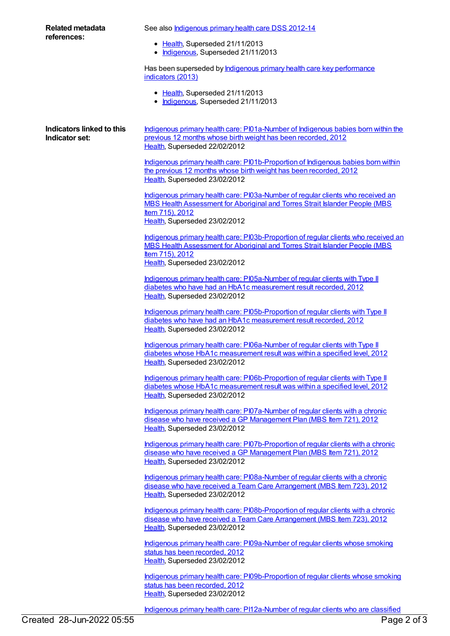| <b>Related metadata</b><br>references:      | See also <b>Indigenous primary health care DSS 2012-14</b>                                                                                                                                                             |
|---------------------------------------------|------------------------------------------------------------------------------------------------------------------------------------------------------------------------------------------------------------------------|
|                                             | • Health, Superseded 21/11/2013<br>• Indigenous, Superseded 21/11/2013                                                                                                                                                 |
|                                             | Has been superseded by <b>Indigenous primary health care key performance</b><br>indicators (2013)                                                                                                                      |
|                                             | • Health, Superseded 21/11/2013<br>• Indigenous, Superseded 21/11/2013                                                                                                                                                 |
| Indicators linked to this<br>Indicator set: | Indigenous primary health care: PI01a-Number of Indigenous babies born within the<br>previous 12 months whose birth weight has been recorded, 2012<br>Health, Superseded 22/02/2012                                    |
|                                             | Indigenous primary health care: PI01b-Proportion of Indigenous babies born within<br>the previous 12 months whose birth weight has been recorded, 2012<br>Health, Superseded 23/02/2012                                |
|                                             | Indigenous primary health care: PI03a-Number of regular clients who received an<br>MBS Health Assessment for Aboriginal and Torres Strait Islander People (MBS<br>Item 715), 2012<br>Health, Superseded 23/02/2012     |
|                                             | Indigenous primary health care: PI03b-Proportion of regular clients who received an<br>MBS Health Assessment for Aboriginal and Torres Strait Islander People (MBS<br>Item 715), 2012<br>Health, Superseded 23/02/2012 |
|                                             |                                                                                                                                                                                                                        |
|                                             | Indigenous primary health care: PI05a-Number of regular clients with Type II<br>diabetes who have had an HbA1c measurement result recorded, 2012<br>Health, Superseded 23/02/2012                                      |
|                                             | Indigenous primary health care: PI05b-Proportion of regular clients with Type II<br>diabetes who have had an HbA1c measurement result recorded, 2012<br>Health, Superseded 23/02/2012                                  |
|                                             | Indigenous primary health care: PI06a-Number of regular clients with Type II<br>diabetes whose HbA1c measurement result was within a specified level, 2012<br>Health, Superseded 23/02/2012                            |
|                                             | Indigenous primary health care: PI06b-Proportion of regular clients with Type II<br>diabetes whose HbA1c measurement result was within a specified level, 2012<br>Health, Superseded 23/02/2012                        |
|                                             | Indigenous primary health care: PI07a-Number of regular clients with a chronic<br>disease who have received a GP Management Plan (MBS Item 721), 2012<br>Health, Superseded 23/02/2012                                 |
|                                             | Indigenous primary health care: PI07b-Proportion of regular clients with a chronic<br>disease who have received a GP Management Plan (MBS Item 721), 2012<br>Health, Superseded 23/02/2012                             |
|                                             | Indigenous primary health care: PI08a-Number of regular clients with a chronic<br>disease who have received a Team Care Arrangement (MBS Item 723), 2012<br>Health, Superseded 23/02/2012                              |
|                                             | Indigenous primary health care: PI08b-Proportion of regular clients with a chronic<br>disease who have received a Team Care Arrangement (MBS Item 723), 2012<br>Health, Superseded 23/02/2012                          |
|                                             | Indigenous primary health care: PI09a-Number of regular clients whose smoking<br>status has been recorded, 2012<br>Health, Superseded 23/02/2012                                                                       |
|                                             | Indigenous primary health care: PI09b-Proportion of regular clients whose smoking<br>status has been recorded, 2012<br>Health, Superseded 23/02/2012                                                                   |

Indigenous primary health care: [PI12a-Number](https://meteor.aihw.gov.au/content/432455) of regular clients who are classified